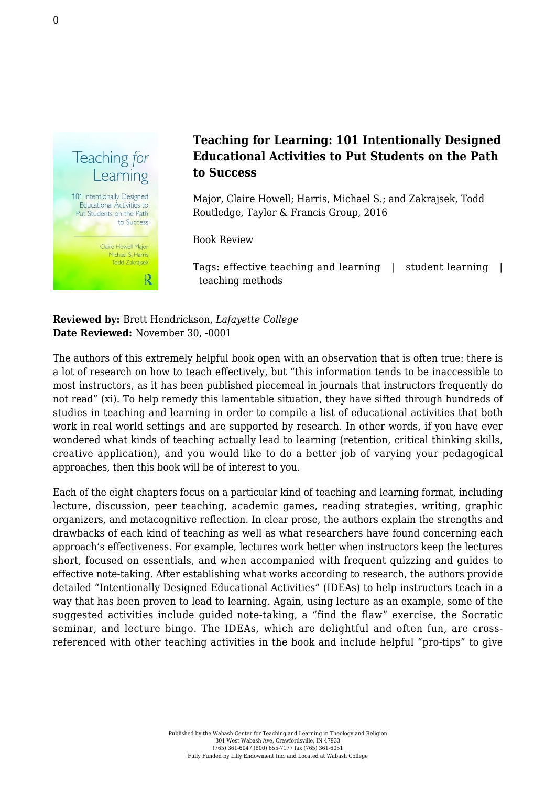

## **Teaching for Learning: 101 Intentionally Designed Educational Activities to Put Students on the Path to Success**

Major, Claire Howell; Harris, Michael S.; and Zakrajsek, Todd [Routledge, Taylor & Francis Group, 2016](https://www.routledge.com/products/9780415699365)

Book Review

Tags: effective teaching and learning | student learning | teaching methods

**Reviewed by:** Brett Hendrickson, *Lafayette College* **Date Reviewed:** November 30, -0001

The authors of this extremely helpful book open with an observation that is often true: there is a lot of research on how to teach effectively, but "this information tends to be inaccessible to most instructors, as it has been published piecemeal in journals that instructors frequently do not read" (xi). To help remedy this lamentable situation, they have sifted through hundreds of studies in teaching and learning in order to compile a list of educational activities that both work in real world settings and are supported by research. In other words, if you have ever wondered what kinds of teaching actually lead to learning (retention, critical thinking skills, creative application), and you would like to do a better job of varying your pedagogical approaches, then this book will be of interest to you.

Each of the eight chapters focus on a particular kind of teaching and learning format, including lecture, discussion, peer teaching, academic games, reading strategies, writing, graphic organizers, and metacognitive reflection. In clear prose, the authors explain the strengths and drawbacks of each kind of teaching as well as what researchers have found concerning each approach's effectiveness. For example, lectures work better when instructors keep the lectures short, focused on essentials, and when accompanied with frequent quizzing and guides to effective note-taking. After establishing what works according to research, the authors provide detailed "Intentionally Designed Educational Activities" (IDEAs) to help instructors teach in a way that has been proven to lead to learning. Again, using lecture as an example, some of the suggested activities include guided note-taking, a "find the flaw" exercise, the Socratic seminar, and lecture bingo. The IDEAs, which are delightful and often fun, are crossreferenced with other teaching activities in the book and include helpful "pro-tips" to give